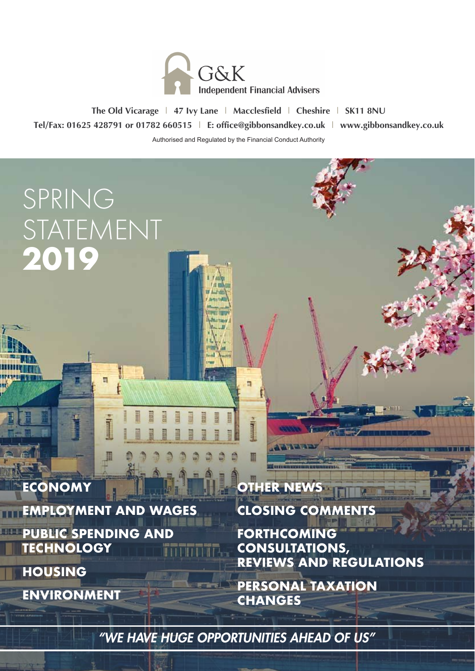

**The Old Vicarage | 47 Ivy Lane | Macclesfield | Cheshire | SK11 8NU Tel/Fax: 01625 428791 or 01782 660515 | E: office@gibbonsandkey.co.uk | www.gibbonsandkey.co.uk** Authorised and Regulated by the Financial Conduct Authority

**ECONOMY**

SPRING

**2019**

STATEMENT

**EMPLOYMENT AND WAGES**

**PUBLIC SPENDING AND TECHNOLOGY**

**HOUSING**

**ENVIRONMENT** 

**CLOSING COMMENTS**

**OTHER NEWS**

**Fillman** 

H

**FORTHCOMING CONSULTATIONS, REVIEWS AND REGULATIONS**

**PERSONAL TAXATION CHANGES**

*"WE HAVE HUGE OPPORTUNITIES AHEAD OF US"*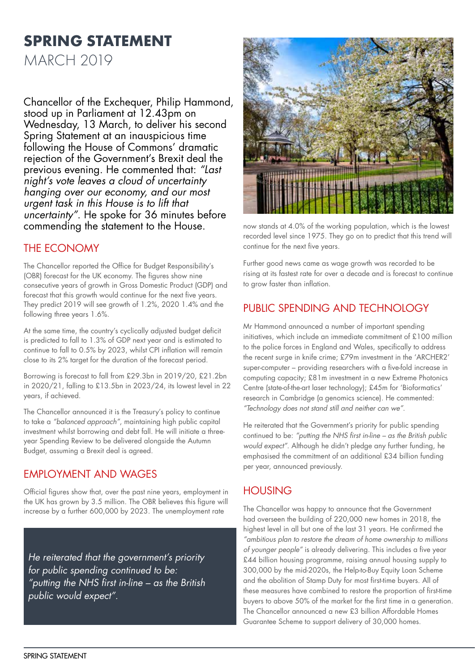# **SPRING STATEMENT**

MARCH 2019

Chancellor of the Exchequer, Philip Hammond, stood up in Parliament at 12.43pm on Wednesday, 13 March, to deliver his second Spring Statement at an inauspicious time following the House of Commons' dramatic rejection of the Government's Brexit deal the previous evening. He commented that: *"Last night's vote leaves a cloud of uncertainty hanging over our economy, and our most urgent task in this House is to lift that uncertainty"*. He spoke for 36 minutes before commending the statement to the House.

# THE ECONOMY

The Chancellor reported the Office for Budget Responsibility's (OBR) forecast for the UK economy. The figures show nine consecutive years of growth in Gross Domestic Product (GDP) and forecast that this growth would continue for the next five years. They predict 2019 will see growth of 1.2%, 2020 1.4% and the following three years 1.6%.

At the same time, the country's cyclically adjusted budget deficit is predicted to fall to 1.3% of GDP next year and is estimated to continue to fall to 0.5% by 2023, whilst CPI inflation will remain close to its 2% target for the duration of the forecast period.

Borrowing is forecast to fall from £29.3bn in 2019/20, £21.2bn in 2020/21, falling to £13.5bn in 2023/24, its lowest level in 22 years, if achieved.

The Chancellor announced it is the Treasury's policy to continue to take a *"balanced approach"*, maintaining high public capital investment whilst borrowing and debt fall. He will initiate a threeyear Spending Review to be delivered alongside the Autumn Budget, assuming a Brexit deal is agreed.

# EMPLOYMENT AND WAGES

Official figures show that, over the past nine years, employment in the UK has grown by 3.5 million. The OBR believes this figure will increase by a further 600,000 by 2023. The unemployment rate

*He reiterated that the government's priority for public spending continued to be: "putting the NHS first in-line – as the British public would expect".* 



now stands at 4.0% of the working population, which is the lowest recorded level since 1975. They go on to predict that this trend will continue for the next five years.

Further good news came as wage growth was recorded to be rising at its fastest rate for over a decade and is forecast to continue to grow faster than inflation.

#### PUBLIC SPENDING AND TECHNOLOGY

Mr Hammond announced a number of important spending initiatives, which include an immediate commitment of £100 million to the police forces in England and Wales, specifically to address the recent surge in knife crime; £79m investment in the 'ARCHER2' super-computer – providing researchers with a five-fold increase in computing capacity; £81m investment in a new Extreme Photonics Centre (state-of-the-art laser technology); £45m for 'Bioformatics' research in Cambridge (a genomics science). He commented: *"Technology does not stand still and neither can we"*.

He reiterated that the Government's priority for public spending continued to be: *"putting the NHS first in-line – as the British public would expect"*. Although he didn't pledge any further funding, he emphasised the commitment of an additional £34 billion funding per year, announced previously.

# HOUSING

The Chancellor was happy to announce that the Government had overseen the building of 220,000 new homes in 2018, the highest level in all but one of the last 31 years. He confirmed the *"ambitious plan to restore the dream of home ownership to millions of younger people"* is already delivering. This includes a five year £44 billion housing programme, raising annual housing supply to 300,000 by the mid-2020s, the Help-to-Buy Equity Loan Scheme and the abolition of Stamp Duty for most first-time buyers. All of these measures have combined to restore the proportion of first-time buyers to above 50% of the market for the first time in a generation. The Chancellor announced a new £3 billion Affordable Homes Guarantee Scheme to support delivery of 30,000 homes.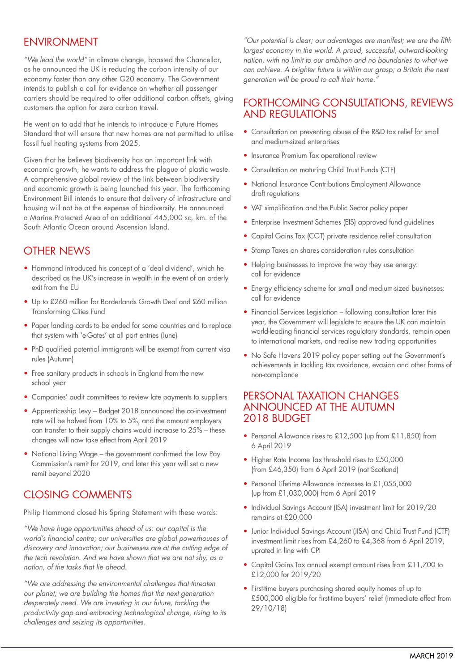#### ENVIRONMENT

*"We lead the world"* in climate change, boasted the Chancellor, as he announced the UK is reducing the carbon intensity of our economy faster than any other G20 economy. The Government intends to publish a call for evidence on whether all passenger carriers should be required to offer additional carbon offsets, giving customers the option for zero carbon travel.

He went on to add that he intends to introduce a Future Homes Standard that will ensure that new homes are not permitted to utilise fossil fuel heating systems from 2025.

Given that he believes biodiversity has an important link with economic growth, he wants to address the plague of plastic waste. A comprehensive global review of the link between biodiversity and economic growth is being launched this year. The forthcoming Environment Bill intends to ensure that delivery of infrastructure and housing will not be at the expense of biodiversity. He announced a Marine Protected Area of an additional 445,000 sq. km. of the South Atlantic Ocean around Ascension Island.

#### OTHER NEWS

- Hammond introduced his concept of a 'deal dividend', which he described as the UK's increase in wealth in the event of an orderly exit from the EU
- Up to £260 million for Borderlands Growth Deal and £60 million Transforming Cities Fund
- Paper landing cards to be ended for some countries and to replace that system with 'e-Gates' at all port entries (June)
- PhD qualified potential immigrants will be exempt from current visa rules (Autumn)
- Free sanitary products in schools in England from the new school year
- Companies' audit committees to review late payments to suppliers
- Apprenticeship Levy Budget 2018 announced the co-investment rate will be halved from 10% to 5%, and the amount employers can transfer to their supply chains would increase to 25% – these changes will now take effect from April 2019
- National Living Wage the government confirmed the Low Pay Commission's remit for 2019, and later this year will set a new remit beyond 2020

#### CLOSING COMMENTS

Philip Hammond closed his Spring Statement with these words:

*"We have huge opportunities ahead of us: our capital is the world's financial centre; our universities are global powerhouses of discovery and innovation; our businesses are at the cutting edge of the tech revolution. And we have shown that we are not shy, as a nation, of the tasks that lie ahead.*

*"We are addressing the environmental challenges that threaten our planet; we are building the homes that the next generation desperately need. We are investing in our future, tackling the productivity gap and embracing technological change, rising to its challenges and seizing its opportunities.*

*"Our potential is clear; our advantages are manifest; we are the fifth largest economy in the world. A proud, successful, outward-looking nation, with no limit to our ambition and no boundaries to what we can achieve. A brighter future is within our grasp; a Britain the next generation will be proud to call their home."*

#### FORTHCOMING CONSULTATIONS, REVIEWS AND REGULATIONS

- Consultation on preventing abuse of the R&D tax relief for small and medium-sized enterprises
- Insurance Premium Tax operational review
- Consultation on maturing Child Trust Funds (CTF)
- National Insurance Contributions Employment Allowance draft regulations
- VAT simplification and the Public Sector policy paper
- Enterprise Investment Schemes (EIS) approved fund guidelines
- Capital Gains Tax (CGT) private residence relief consultation
- Stamp Taxes on shares consideration rules consultation
- Helping businesses to improve the way they use energy: call for evidence
- Energy efficiency scheme for small and medium-sized businesses: call for evidence
- Financial Services Legislation following consultation later this year, the Government will legislate to ensure the UK can maintain world-leading financial services regulatory standards, remain open to international markets, and realise new trading opportunities
- No Safe Havens 2019 policy paper setting out the Government's achievements in tackling tax avoidance, evasion and other forms of non-compliance

#### PERSONAL TAXATION CHANGES ANNOUNCED AT THE AUTUMN 2018 BUDGET

- Personal Allowance rises to £12,500 (up from £11,850) from 6 April 2019
- Higher Rate Income Tax threshold rises to £50,000 (from £46,350) from 6 April 2019 (not Scotland)
- Personal Lifetime Allowance increases to £1,055,000 (up from £1,030,000) from 6 April 2019
- Individual Savings Account (ISA) investment limit for 2019/20 remains at £20,000
- Junior Individual Savings Account (JISA) and Child Trust Fund (CTF) investment limit rises from £4,260 to £4,368 from 6 April 2019, uprated in line with CPI
- Capital Gains Tax annual exempt amount rises from £11,700 to £12,000 for 2019/20
- First-time buyers purchasing shared equity homes of up to £500,000 eligible for first-time buyers' relief (immediate effect from 29/10/18)